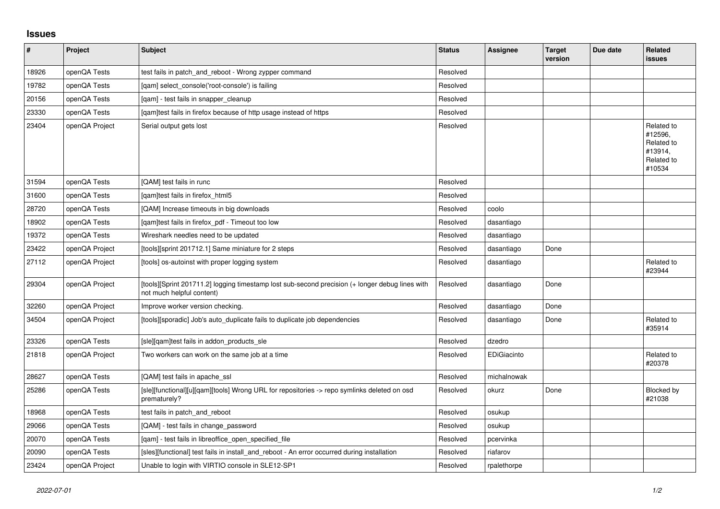## **Issues**

| $\vert$ # | Project        | Subject                                                                                                                      | <b>Status</b> | <b>Assignee</b> | <b>Target</b><br>version | Due date | <b>Related</b><br>issues                                               |
|-----------|----------------|------------------------------------------------------------------------------------------------------------------------------|---------------|-----------------|--------------------------|----------|------------------------------------------------------------------------|
| 18926     | openQA Tests   | test fails in patch_and_reboot - Wrong zypper command                                                                        | Resolved      |                 |                          |          |                                                                        |
| 19782     | openQA Tests   | [gam] select console('root-console') is failing                                                                              | Resolved      |                 |                          |          |                                                                        |
| 20156     | openQA Tests   | [qam] - test fails in snapper_cleanup                                                                                        | Resolved      |                 |                          |          |                                                                        |
| 23330     | openQA Tests   | [gam]test fails in firefox because of http usage instead of https                                                            | Resolved      |                 |                          |          |                                                                        |
| 23404     | openQA Project | Serial output gets lost                                                                                                      | Resolved      |                 |                          |          | Related to<br>#12596,<br>Related to<br>#13914,<br>Related to<br>#10534 |
| 31594     | openQA Tests   | [QAM] test fails in runc                                                                                                     | Resolved      |                 |                          |          |                                                                        |
| 31600     | openQA Tests   | [gam]test fails in firefox html5                                                                                             | Resolved      |                 |                          |          |                                                                        |
| 28720     | openQA Tests   | [QAM] Increase timeouts in big downloads                                                                                     | Resolved      | coolo           |                          |          |                                                                        |
| 18902     | openQA Tests   | [qam]test fails in firefox_pdf - Timeout too low                                                                             | Resolved      | dasantiago      |                          |          |                                                                        |
| 19372     | openQA Tests   | Wireshark needles need to be updated                                                                                         | Resolved      | dasantiago      |                          |          |                                                                        |
| 23422     | openQA Project | [tools][sprint 201712.1] Same miniature for 2 steps                                                                          | Resolved      | dasantiago      | Done                     |          |                                                                        |
| 27112     | openQA Project | [tools] os-autoinst with proper logging system                                                                               | Resolved      | dasantiago      |                          |          | Related to<br>#23944                                                   |
| 29304     | openQA Project | [tools][Sprint 201711.2] logging timestamp lost sub-second precision (+ longer debug lines with<br>not much helpful content) | Resolved      | dasantiago      | Done                     |          |                                                                        |
| 32260     | openQA Project | Improve worker version checking.                                                                                             | Resolved      | dasantiago      | Done                     |          |                                                                        |
| 34504     | openQA Project | [tools][sporadic] Job's auto_duplicate fails to duplicate job dependencies                                                   | Resolved      | dasantiago      | Done                     |          | Related to<br>#35914                                                   |
| 23326     | openQA Tests   | [sle][qam]test fails in addon products sle                                                                                   | Resolved      | dzedro          |                          |          |                                                                        |
| 21818     | openQA Project | Two workers can work on the same job at a time                                                                               | Resolved      | EDiGiacinto     |                          |          | Related to<br>#20378                                                   |
| 28627     | openQA Tests   | [QAM] test fails in apache ssl                                                                                               | Resolved      | michalnowak     |                          |          |                                                                        |
| 25286     | openQA Tests   | [sle][functional][u][qam][tools] Wrong URL for repositories -> repo symlinks deleted on osd<br>prematurely?                  | Resolved      | okurz           | Done                     |          | Blocked by<br>#21038                                                   |
| 18968     | openQA Tests   | test fails in patch and reboot                                                                                               | Resolved      | osukup          |                          |          |                                                                        |
| 29066     | openQA Tests   | [QAM] - test fails in change password                                                                                        | Resolved      | osukup          |                          |          |                                                                        |
| 20070     | openQA Tests   | [qam] - test fails in libreoffice_open_specified_file                                                                        | Resolved      | pcervinka       |                          |          |                                                                        |
| 20090     | openQA Tests   | [sles][functional] test fails in install_and_reboot - An error occurred during installation                                  | Resolved      | riafarov        |                          |          |                                                                        |
| 23424     | openQA Project | Unable to login with VIRTIO console in SLE12-SP1                                                                             | Resolved      | rpalethorpe     |                          |          |                                                                        |